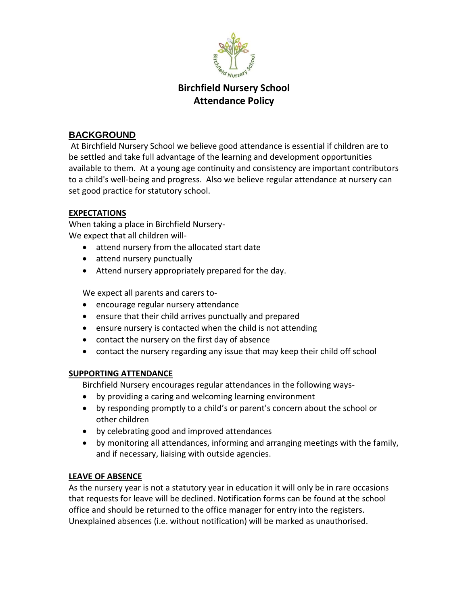

# **Birchfield Nursery School Attendance Policy**

## **BACKGROUND**

At Birchfield Nursery School we believe good attendance is essential if children are to be settled and take full advantage of the learning and development opportunities available to them. At a young age continuity and consistency are important contributors to a child's well-being and progress. Also we believe regular attendance at nursery can set good practice for statutory school.

#### **EXPECTATIONS**

When taking a place in Birchfield Nursery-We expect that all children will-

- attend nursery from the allocated start date
- attend nursery punctually
- Attend nursery appropriately prepared for the day.

We expect all parents and carers to-

- encourage regular nursery attendance
- ensure that their child arrives punctually and prepared
- ensure nursery is contacted when the child is not attending
- contact the nursery on the first day of absence
- contact the nursery regarding any issue that may keep their child off school

#### **SUPPORTING ATTENDANCE**

Birchfield Nursery encourages regular attendances in the following ways-

- by providing a caring and welcoming learning environment
- by responding promptly to a child's or parent's concern about the school or other children
- by celebrating good and improved attendances
- by monitoring all attendances, informing and arranging meetings with the family, and if necessary, liaising with outside agencies.

#### **LEAVE OF ABSENCE**

As the nursery year is not a statutory year in education it will only be in rare occasions that requests for leave will be declined. Notification forms can be found at the school office and should be returned to the office manager for entry into the registers. Unexplained absences (i.e. without notification) will be marked as unauthorised.